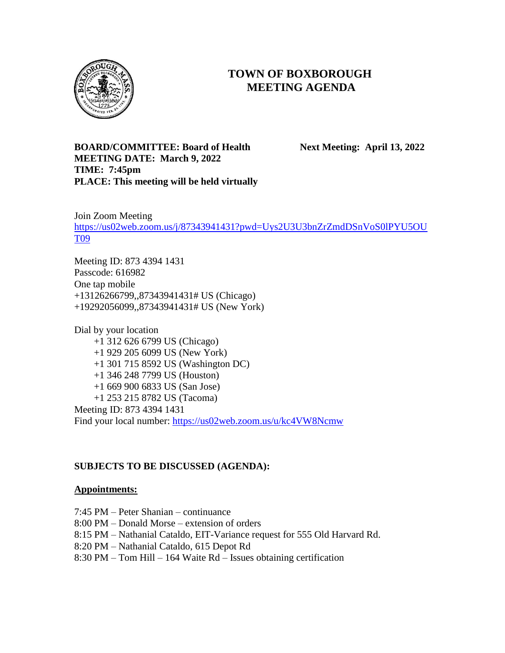

# **TOWN OF BOXBOROUGH MEETING AGENDA**

## **BOARD/COMMITTEE: Board of Health Next Meeting: April 13, 2022 MEETING DATE: March 9, 2022 TIME: 7:45pm PLACE: This meeting will be held virtually**

Join Zoom Meeting [https://us02web.zoom.us/j/87343941431?pwd=Uys2U3U3bnZrZmdDSnVoS0lPYU5OU](https://us02web.zoom.us/j/87343941431?pwd=Uys2U3U3bnZrZmdDSnVoS0lPYU5OUT09) [T09](https://us02web.zoom.us/j/87343941431?pwd=Uys2U3U3bnZrZmdDSnVoS0lPYU5OUT09)

Meeting ID: 873 4394 1431 Passcode: 616982 One tap mobile +13126266799,,87343941431# US (Chicago) +19292056099,,87343941431# US (New York)

Dial by your location +1 312 626 6799 US (Chicago) +1 929 205 6099 US (New York) +1 301 715 8592 US (Washington DC) +1 346 248 7799 US (Houston) +1 669 900 6833 US (San Jose) +1 253 215 8782 US (Tacoma) Meeting ID: 873 4394 1431 Find your local number:<https://us02web.zoom.us/u/kc4VW8Ncmw>

# **SUBJECTS TO BE DISCUSSED (AGENDA):**

#### **Appointments:**

- 7:45 PM Peter Shanian continuance
- 8:00 PM Donald Morse extension of orders
- 8:15 PM Nathanial Cataldo, EIT-Variance request for 555 Old Harvard Rd.
- 8:20 PM Nathanial Cataldo, 615 Depot Rd
- 8:30 PM Tom Hill 164 Waite Rd Issues obtaining certification